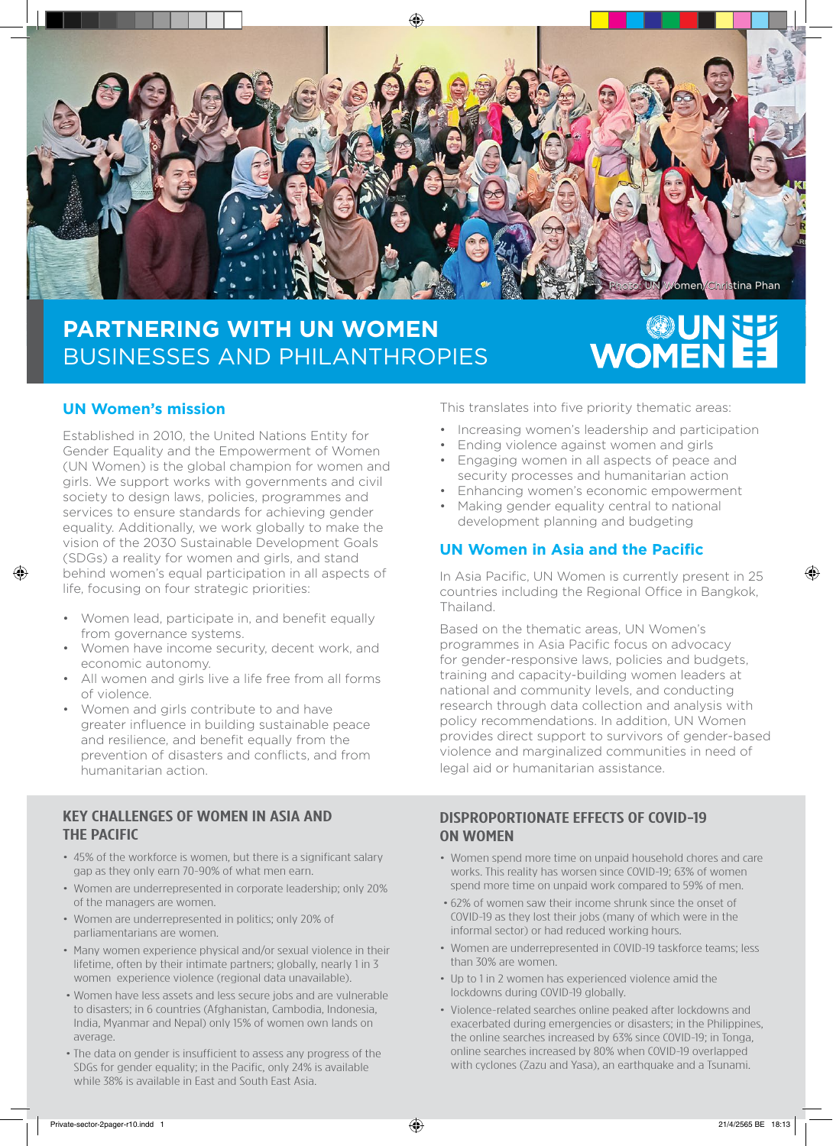

## **PARTNERING WITH UN WOMEN** BUSINESSES AND PHILANTHROPIES

# EE NUNE

### **UN Women's mission**

Established in 2010, the United Nations Entity for Gender Equality and the Empowerment of Women (UN Women) is the global champion for women and girls. We support works with governments and civil society to design laws, policies, programmes and services to ensure standards for achieving gender equality. Additionally, we work globally to make the vision of the 2030 Sustainable Development Goals (SDGs) a reality for women and girls, and stand behind women's equal participation in all aspects of life, focusing on four strategic priorities:

- Women lead, participate in, and benefit equally from governance systems.
- Women have income security, decent work, and economic autonomy.
- All women and girls live a life free from all forms of violence.
- Women and girls contribute to and have greater influence in building sustainable peace and resilience, and benefit equally from the prevention of disasters and conflicts, and from humanitarian action.

#### KEY CHALLENGES OF WOMEN IN ASIA AND THE PACIFIC

- 45% of the workforce is women, but there is a significant salary gap as they only earn 70-90% of what men earn.
- Women are underrepresented in corporate leadership; only 20% of the managers are women.
- Women are underrepresented in politics; only 20% of parliamentarians are women.
- Many women experience physical and/or sexual violence in their lifetime, often by their intimate partners; globally, nearly 1 in 3 women experience violence (regional data unavailable).
- •Women have less assets and less secure jobs and are vulnerable to disasters; in 6 countries (Afghanistan, Cambodia, Indonesia, India, Myanmar and Nepal) only 15% of women own lands on average.
- •The data on gender is insufficient to assess any progress of the SDGs for gender equality; in the Pacific, only 24% is available while 38% is available in East and South East Asia.

This translates into five priority thematic areas:

- Increasing women's leadership and participation
- Ending violence against women and girls
- Engaging women in all aspects of peace and security processes and humanitarian action
- Enhancing women's economic empowerment
- Making gender equality central to national development planning and budgeting

### **UN Women in Asia and the Pacific**

In Asia Pacific, UN Women is currently present in 25 countries including the Regional Office in Bangkok, Thailand.

Based on the thematic areas, UN Women's programmes in Asia Pacific focus on advocacy for gender-responsive laws, policies and budgets, training and capacity-building women leaders at national and community levels, and conducting research through data collection and analysis with policy recommendations. In addition, UN Women provides direct support to survivors of gender-based violence and marginalized communities in need of legal aid or humanitarian assistance.

#### DISPROPORTIONATE EFFECTS OF COVID-19 ON WOMEN

- Women spend more time on unpaid household chores and care works. This reality has worsen since COVID-19; 63% of women spend more time on unpaid work compared to 59% of men.
- •62% of women saw their income shrunk since the onset of COVID-19 as they lost their jobs (many of which were in the informal sector) or had reduced working hours.
- Women are underrepresented in COVID-19 taskforce teams; less than 30% are women.
- Up to 1 in 2 women has experienced violence amid the lockdowns during COVID-19 globally.
- Violence-related searches online peaked after lockdowns and exacerbated during emergencies or disasters; in the Philippines, the online searches increased by 63% since COVID-19; in Tonga, online searches increased by 80% when COVID-19 overlapped with cyclones (Zazu and Yasa), an earthquake and a Tsunami.